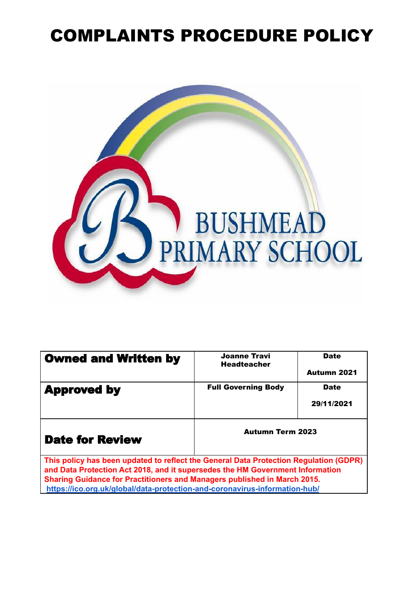## COMPLAINTS PROCEDURE POLICY



| <b>Owned and Written by</b>                                                                                                                                            | <b>Joanne Travi</b><br><b>Headteacher</b> | <b>Date</b>        |
|------------------------------------------------------------------------------------------------------------------------------------------------------------------------|-------------------------------------------|--------------------|
|                                                                                                                                                                        |                                           | <b>Autumn 2021</b> |
| <b>Approved by</b>                                                                                                                                                     | <b>Full Governing Body</b>                | <b>Date</b>        |
|                                                                                                                                                                        |                                           | 29/11/2021         |
| <b>Date for Review</b>                                                                                                                                                 | <b>Autumn Term 2023</b>                   |                    |
| This policy has been updated to reflect the General Data Protection Regulation (GDPR)<br>and Data Protection Act 2018, and it supersedes the HM Government Information |                                           |                    |
| Sharing Guidance for Practitioners and Managers published in March 2015.<br>https://ico.org.uk/global/data-protection-and-coronavirus-information-hub/                 |                                           |                    |